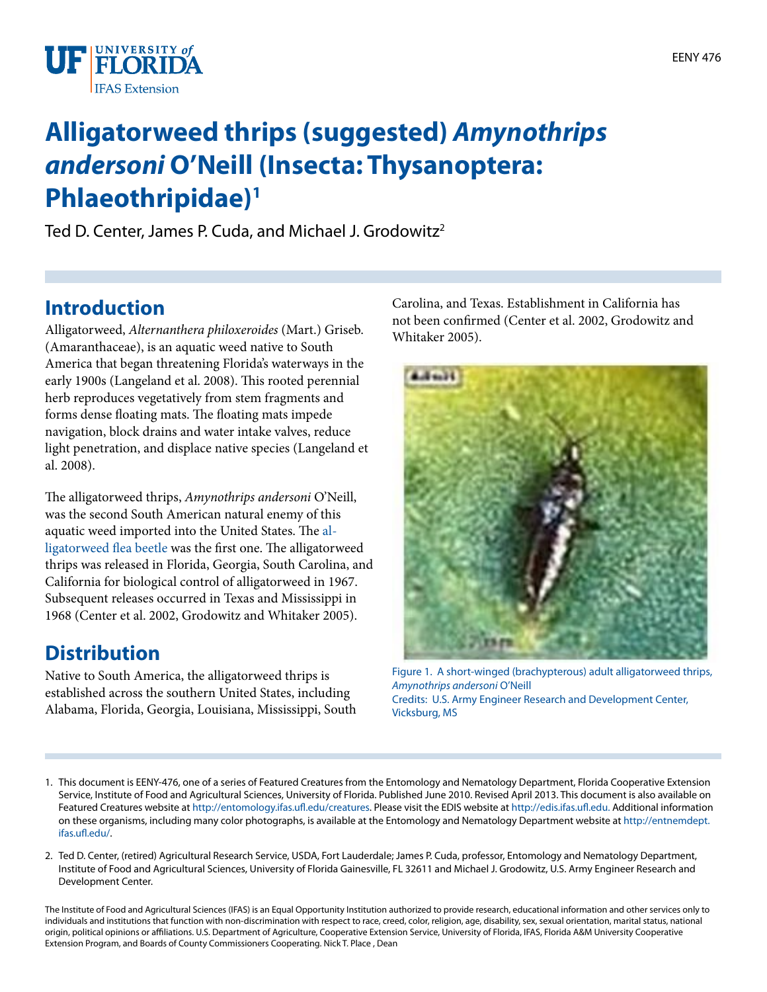

# **Alligatorweed thrips (suggested)** *Amynothrips andersoni* **O'Neill (Insecta: Thysanoptera: Phlaeothripidae)1**

Ted D. Center, James P. Cuda, and Michael J. Grodowitz<sup>2</sup>

### **Introduction**

Alligatorweed, *Alternanthera philoxeroides* (Mart.) Griseb. (Amaranthaceae), is an aquatic weed native to South America that began threatening Florida's waterways in the early 1900s (Langeland et al. 2008). This rooted perennial herb reproduces vegetatively from stem fragments and forms dense floating mats. The floating mats impede navigation, block drains and water intake valves, reduce light penetration, and displace native species (Langeland et al. 2008).

The alligatorweed thrips, *Amynothrips andersoni* O'Neill, was the second South American natural enemy of this aquatic weed imported into the United States. The [al](http://entnemdept.ufl.edu/creatures/beneficial/beetles/alligatorweed_flea_beetle.htm)[ligatorweed flea beetle](http://entnemdept.ufl.edu/creatures/beneficial/beetles/alligatorweed_flea_beetle.htm) was the first one. The alligatorweed thrips was released in Florida, Georgia, South Carolina, and California for biological control of alligatorweed in 1967. Subsequent releases occurred in Texas and Mississippi in 1968 (Center et al. 2002, Grodowitz and Whitaker 2005).

## **Distribution**

Native to South America, the alligatorweed thrips is established across the southern United States, including Alabama, Florida, Georgia, Louisiana, Mississippi, South Carolina, and Texas. Establishment in California has not been confirmed (Center et al. 2002, Grodowitz and Whitaker 2005).



Figure 1. A short-winged (brachypterous) adult alligatorweed thrips, *Amynothrips andersoni* O'Neill Credits: U.S. Army Engineer Research and Development Center, Vicksburg, MS

- 1. This document is EENY-476, one of a series of Featured Creatures from the Entomology and Nematology Department, Florida Cooperative Extension Service, Institute of Food and Agricultural Sciences, University of Florida. Published June 2010. Revised April 2013. This document is also available on Featured Creatures website at <http://entomology.ifas.ufl.edu/creatures>. Please visit the EDIS website at<http://edis.ifas.ufl.edu.> Additional information on these organisms, including many color photographs, is available at the Entomology and Nematology Department website at [http://entnemdept.](http://entnemdept.ifas.ufl.edu/) [ifas.ufl.edu/.](http://entnemdept.ifas.ufl.edu/)
- 2. Ted D. Center, (retired) Agricultural Research Service, USDA, Fort Lauderdale; James P. Cuda, professor, Entomology and Nematology Department, Institute of Food and Agricultural Sciences, University of Florida Gainesville, FL 32611 and Michael J. Grodowitz, U.S. Army Engineer Research and Development Center.

The Institute of Food and Agricultural Sciences (IFAS) is an Equal Opportunity Institution authorized to provide research, educational information and other services only to individuals and institutions that function with non-discrimination with respect to race, creed, color, religion, age, disability, sex, sexual orientation, marital status, national origin, political opinions or affiliations. U.S. Department of Agriculture, Cooperative Extension Service, University of Florida, IFAS, Florida A&M University Cooperative Extension Program, and Boards of County Commissioners Cooperating. Nick T. Place , Dean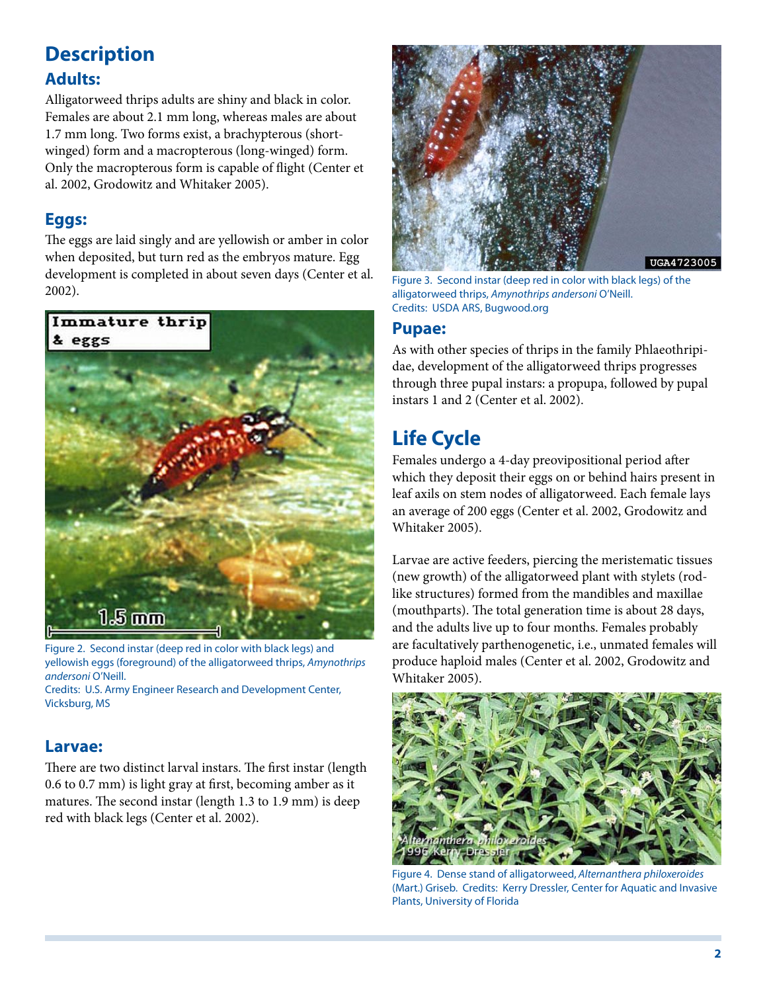# **Description**

#### **Adults:**

Alligatorweed thrips adults are shiny and black in color. Females are about 2.1 mm long, whereas males are about 1.7 mm long. Two forms exist, a brachypterous (shortwinged) form and a macropterous (long-winged) form. Only the macropterous form is capable of flight (Center et al. 2002, Grodowitz and Whitaker 2005).

#### **Eggs:**

The eggs are laid singly and are yellowish or amber in color when deposited, but turn red as the embryos mature. Egg development is completed in about seven days (Center et al. 2002).



Figure 2. Second instar (deep red in color with black legs) and yellowish eggs (foreground) of the alligatorweed thrips, *Amynothrips andersoni* O'Neill.

Credits: U.S. Army Engineer Research and Development Center, Vicksburg, MS

#### **Larvae:**

There are two distinct larval instars. The first instar (length 0.6 to 0.7 mm) is light gray at first, becoming amber as it matures. The second instar (length 1.3 to 1.9 mm) is deep red with black legs (Center et al. 2002).



Figure 3. Second instar (deep red in color with black legs) of the alligatorweed thrips, *Amynothrips andersoni* O'Neill. Credits: USDA ARS, Bugwood.org

#### **Pupae:**

As with other species of thrips in the family Phlaeothripidae, development of the alligatorweed thrips progresses through three pupal instars: a propupa, followed by pupal instars 1 and 2 (Center et al. 2002).

# **Life Cycle**

Females undergo a 4-day preovipositional period after which they deposit their eggs on or behind hairs present in leaf axils on stem nodes of alligatorweed. Each female lays an average of 200 eggs (Center et al. 2002, Grodowitz and Whitaker 2005).

Larvae are active feeders, piercing the meristematic tissues (new growth) of the alligatorweed plant with stylets (rodlike structures) formed from the mandibles and maxillae (mouthparts). The total generation time is about 28 days, and the adults live up to four months. Females probably are facultatively parthenogenetic, i.e., unmated females will produce haploid males (Center et al. 2002, Grodowitz and Whitaker 2005).



Figure 4. Dense stand of alligatorweed, *Alternanthera philoxeroides* (Mart.) Griseb. Credits: Kerry Dressler, Center for Aquatic and Invasive Plants, University of Florida